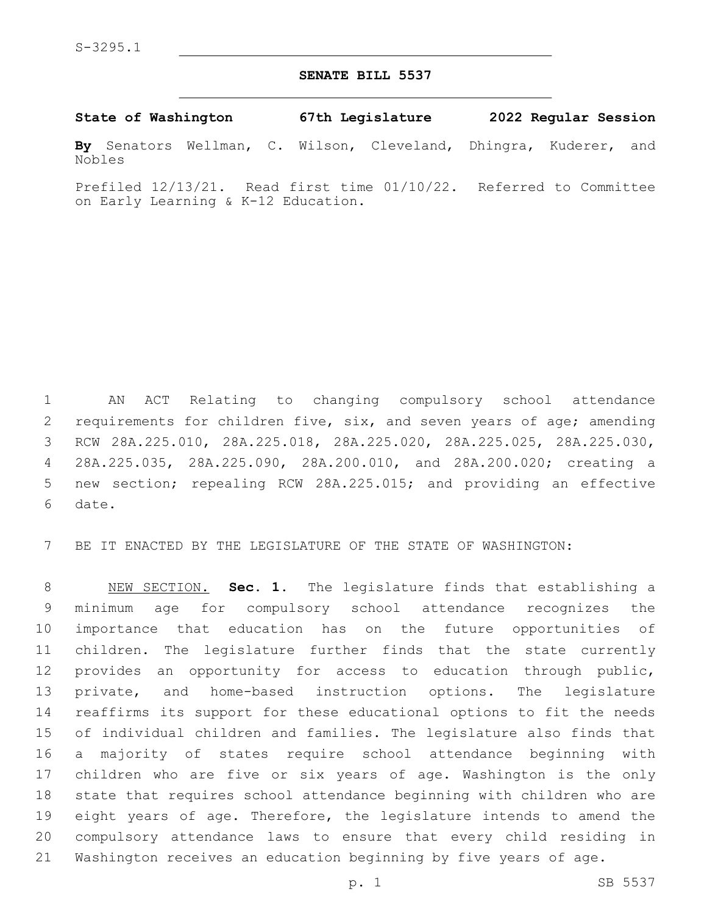## **SENATE BILL 5537**

**State of Washington 67th Legislature 2022 Regular Session**

**By** Senators Wellman, C. Wilson, Cleveland, Dhingra, Kuderer, and Nobles

Prefiled 12/13/21. Read first time 01/10/22. Referred to Committee on Early Learning & K-12 Education.

 AN ACT Relating to changing compulsory school attendance 2 requirements for children five, six, and seven years of age; amending RCW 28A.225.010, 28A.225.018, 28A.225.020, 28A.225.025, 28A.225.030, 28A.225.035, 28A.225.090, 28A.200.010, and 28A.200.020; creating a new section; repealing RCW 28A.225.015; and providing an effective 6 date.

BE IT ENACTED BY THE LEGISLATURE OF THE STATE OF WASHINGTON:

 NEW SECTION. **Sec. 1.** The legislature finds that establishing a minimum age for compulsory school attendance recognizes the importance that education has on the future opportunities of children. The legislature further finds that the state currently provides an opportunity for access to education through public, private, and home-based instruction options. The legislature reaffirms its support for these educational options to fit the needs of individual children and families. The legislature also finds that a majority of states require school attendance beginning with children who are five or six years of age. Washington is the only state that requires school attendance beginning with children who are eight years of age. Therefore, the legislature intends to amend the compulsory attendance laws to ensure that every child residing in Washington receives an education beginning by five years of age.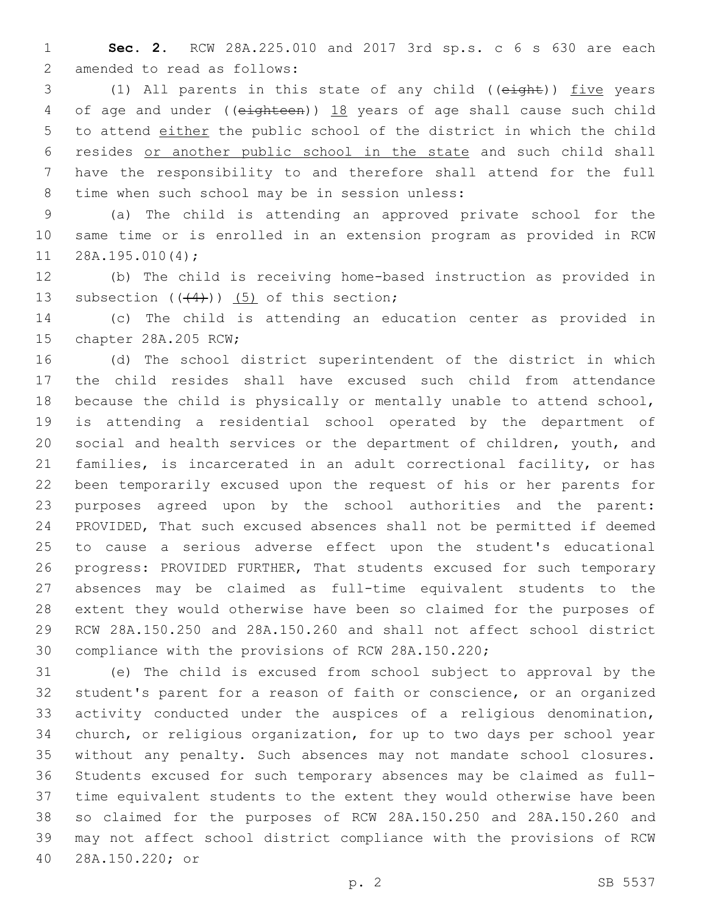**Sec. 2.** RCW 28A.225.010 and 2017 3rd sp.s. c 6 s 630 are each 2 amended to read as follows:

 (1) All parents in this state of any child ((eight)) five years 4 of age and under ((eighteen)) 18 years of age shall cause such child to attend either the public school of the district in which the child resides or another public school in the state and such child shall have the responsibility to and therefore shall attend for the full 8 time when such school may be in session unless:

 (a) The child is attending an approved private school for the same time or is enrolled in an extension program as provided in RCW  $11 \quad 28A.195.010(4)$ ;

 (b) The child is receiving home-based instruction as provided in 13 subsection  $((+4))$   $(5)$  of this section;

 (c) The child is attending an education center as provided in 15 chapter 28A.205 RCW;

 (d) The school district superintendent of the district in which the child resides shall have excused such child from attendance because the child is physically or mentally unable to attend school, is attending a residential school operated by the department of social and health services or the department of children, youth, and families, is incarcerated in an adult correctional facility, or has been temporarily excused upon the request of his or her parents for purposes agreed upon by the school authorities and the parent: PROVIDED, That such excused absences shall not be permitted if deemed to cause a serious adverse effect upon the student's educational progress: PROVIDED FURTHER, That students excused for such temporary absences may be claimed as full-time equivalent students to the extent they would otherwise have been so claimed for the purposes of RCW 28A.150.250 and 28A.150.260 and shall not affect school district compliance with the provisions of RCW 28A.150.220;

 (e) The child is excused from school subject to approval by the student's parent for a reason of faith or conscience, or an organized activity conducted under the auspices of a religious denomination, church, or religious organization, for up to two days per school year without any penalty. Such absences may not mandate school closures. Students excused for such temporary absences may be claimed as full- time equivalent students to the extent they would otherwise have been so claimed for the purposes of RCW 28A.150.250 and 28A.150.260 and may not affect school district compliance with the provisions of RCW 28A.150.220; or40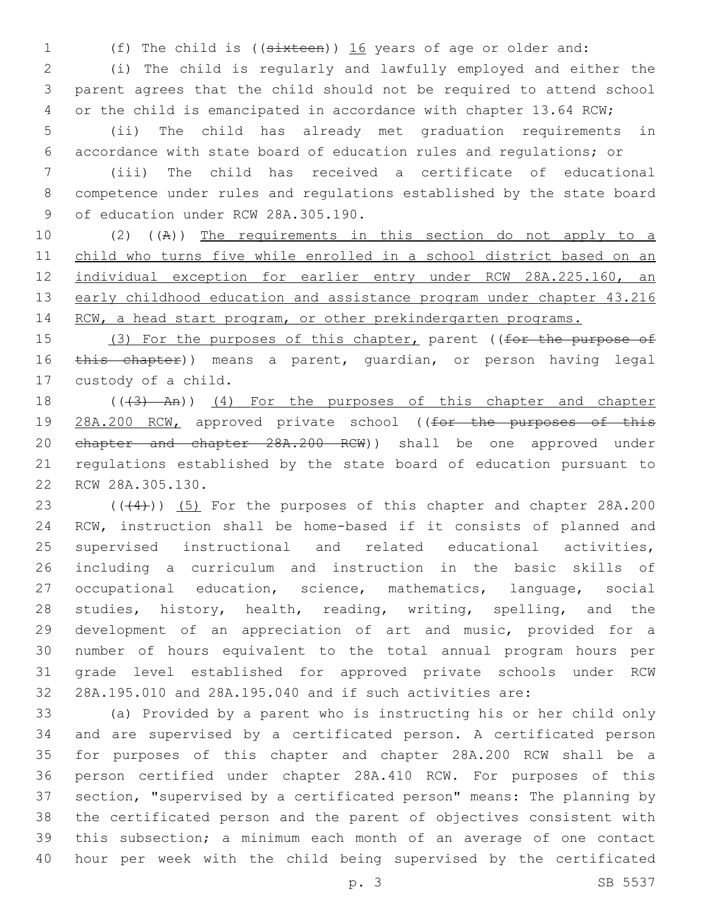(f) The child is ((sixteen)) 16 years of age or older and:

 (i) The child is regularly and lawfully employed and either the parent agrees that the child should not be required to attend school 4 or the child is emancipated in accordance with chapter 13.64 RCW;

 (ii) The child has already met graduation requirements in accordance with state board of education rules and regulations; or

 (iii) The child has received a certificate of educational competence under rules and regulations established by the state board 9 of education under RCW 28A.305.190.

 (2) ((A)) The requirements in this section do not apply to a child who turns five while enrolled in a school district based on an individual exception for earlier entry under RCW 28A.225.160, an 13 early childhood education and assistance program under chapter 43.216 14 RCW, a head start program, or other prekindergarten programs.

15 (3) For the purposes of this chapter, parent ((for the purpose of 16 this chapter)) means a parent, quardian, or person having legal 17 custody of a child.

18 (((3) An)) (4) For the purposes of this chapter and chapter 19 28A.200 RCW, approved private school ((for the purposes of this chapter and chapter 28A.200 RCW)) shall be one approved under regulations established by the state board of education pursuant to 22 RCW 28A.305.130.

 $(1,4)$  (( $(4)$ )) (5) For the purposes of this chapter and chapter 28A.200 RCW, instruction shall be home-based if it consists of planned and supervised instructional and related educational activities, including a curriculum and instruction in the basic skills of occupational education, science, mathematics, language, social 28 studies, history, health, reading, writing, spelling, and the development of an appreciation of art and music, provided for a number of hours equivalent to the total annual program hours per grade level established for approved private schools under RCW 28A.195.010 and 28A.195.040 and if such activities are:

 (a) Provided by a parent who is instructing his or her child only and are supervised by a certificated person. A certificated person for purposes of this chapter and chapter 28A.200 RCW shall be a person certified under chapter 28A.410 RCW. For purposes of this section, "supervised by a certificated person" means: The planning by the certificated person and the parent of objectives consistent with this subsection; a minimum each month of an average of one contact hour per week with the child being supervised by the certificated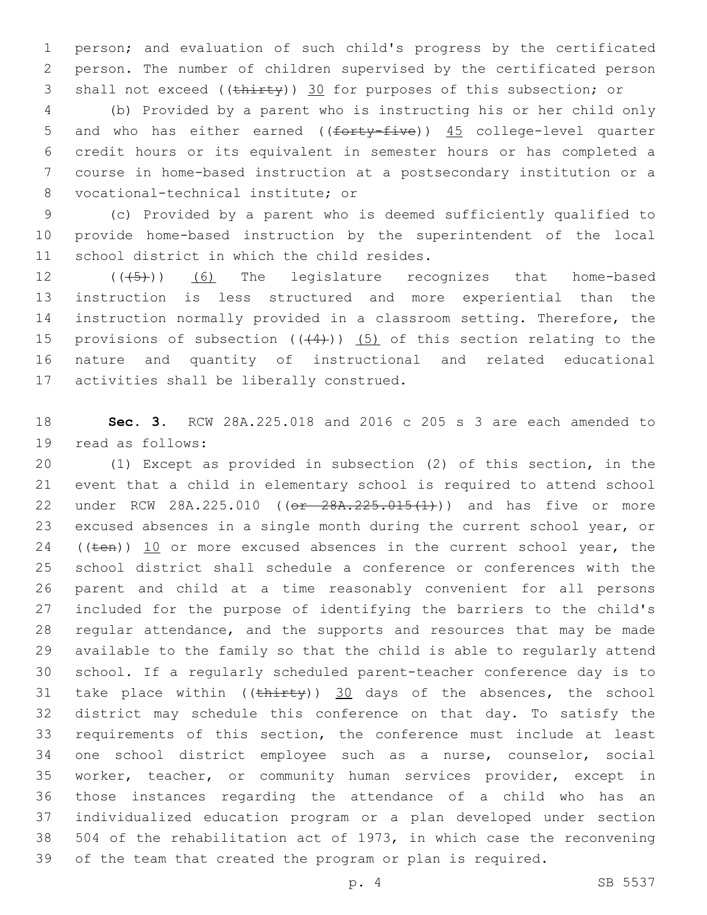person; and evaluation of such child's progress by the certificated person. The number of children supervised by the certificated person 3 shall not exceed ((thirty)) 30 for purposes of this subsection; or

 (b) Provided by a parent who is instructing his or her child only 5 and who has either earned ((forty-five)) 45 college-level quarter credit hours or its equivalent in semester hours or has completed a course in home-based instruction at a postsecondary institution or a 8 vocational-technical institute; or

 (c) Provided by a parent who is deemed sufficiently qualified to provide home-based instruction by the superintendent of the local 11 school district in which the child resides.

12 (((5)) (6) The legislature recognizes that home-based instruction is less structured and more experiential than the instruction normally provided in a classroom setting. Therefore, the 15 provisions of subsection  $((+4))$  (5) of this section relating to the nature and quantity of instructional and related educational 17 activities shall be liberally construed.

 **Sec. 3.** RCW 28A.225.018 and 2016 c 205 s 3 are each amended to 19 read as follows:

 (1) Except as provided in subsection (2) of this section, in the event that a child in elementary school is required to attend school 22 under RCW 28A.225.010 ((or 28A.225.015(1)) and has five or more excused absences in a single month during the current school year, or 24 (( $t_{en}$ )) 10 or more excused absences in the current school year, the school district shall schedule a conference or conferences with the parent and child at a time reasonably convenient for all persons included for the purpose of identifying the barriers to the child's regular attendance, and the supports and resources that may be made available to the family so that the child is able to regularly attend school. If a regularly scheduled parent-teacher conference day is to 31 take place within  $((\text{thirty}))$  30 days of the absences, the school district may schedule this conference on that day. To satisfy the requirements of this section, the conference must include at least one school district employee such as a nurse, counselor, social worker, teacher, or community human services provider, except in those instances regarding the attendance of a child who has an individualized education program or a plan developed under section 504 of the rehabilitation act of 1973, in which case the reconvening of the team that created the program or plan is required.

p. 4 SB 5537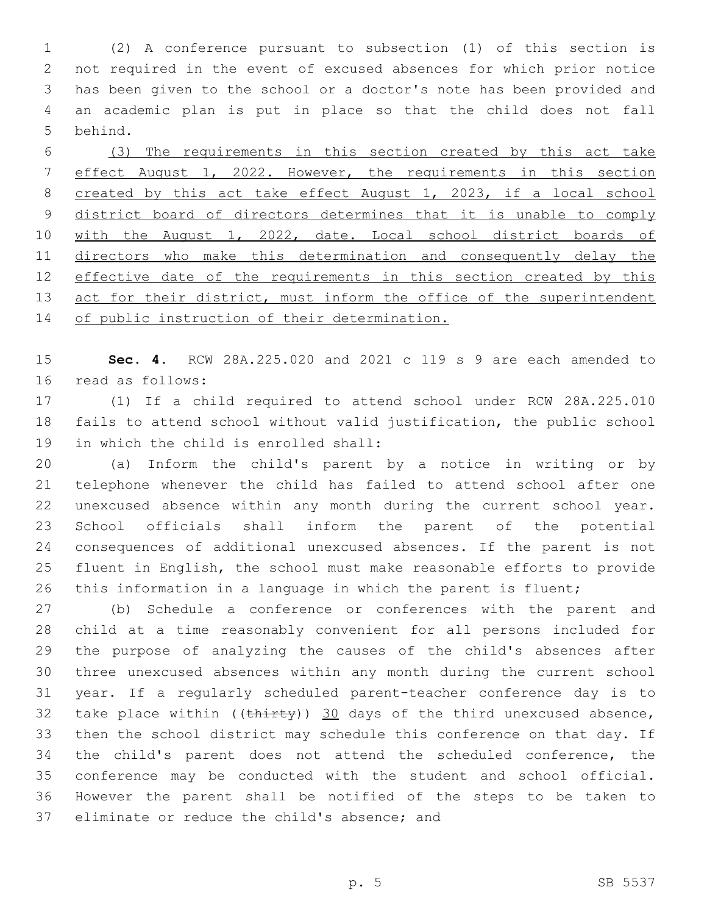(2) A conference pursuant to subsection (1) of this section is not required in the event of excused absences for which prior notice has been given to the school or a doctor's note has been provided and an academic plan is put in place so that the child does not fall 5 behind.

 (3) The requirements in this section created by this act take effect August 1, 2022. However, the requirements in this section created by this act take effect August 1, 2023, if a local school 9 district board of directors determines that it is unable to comply 10 with the August 1, 2022, date. Local school district boards of directors who make this determination and consequently delay the 12 effective date of the requirements in this section created by this 13 act for their district, must inform the office of the superintendent 14 of public instruction of their determination.

 **Sec. 4.** RCW 28A.225.020 and 2021 c 119 s 9 are each amended to 16 read as follows:

 (1) If a child required to attend school under RCW 28A.225.010 fails to attend school without valid justification, the public school 19 in which the child is enrolled shall:

 (a) Inform the child's parent by a notice in writing or by telephone whenever the child has failed to attend school after one unexcused absence within any month during the current school year. School officials shall inform the parent of the potential consequences of additional unexcused absences. If the parent is not fluent in English, the school must make reasonable efforts to provide this information in a language in which the parent is fluent;

 (b) Schedule a conference or conferences with the parent and child at a time reasonably convenient for all persons included for the purpose of analyzing the causes of the child's absences after three unexcused absences within any month during the current school year. If a regularly scheduled parent-teacher conference day is to 32 take place within  $((\text{thirty}))$  30 days of the third unexcused absence, then the school district may schedule this conference on that day. If the child's parent does not attend the scheduled conference, the conference may be conducted with the student and school official. However the parent shall be notified of the steps to be taken to 37 eliminate or reduce the child's absence; and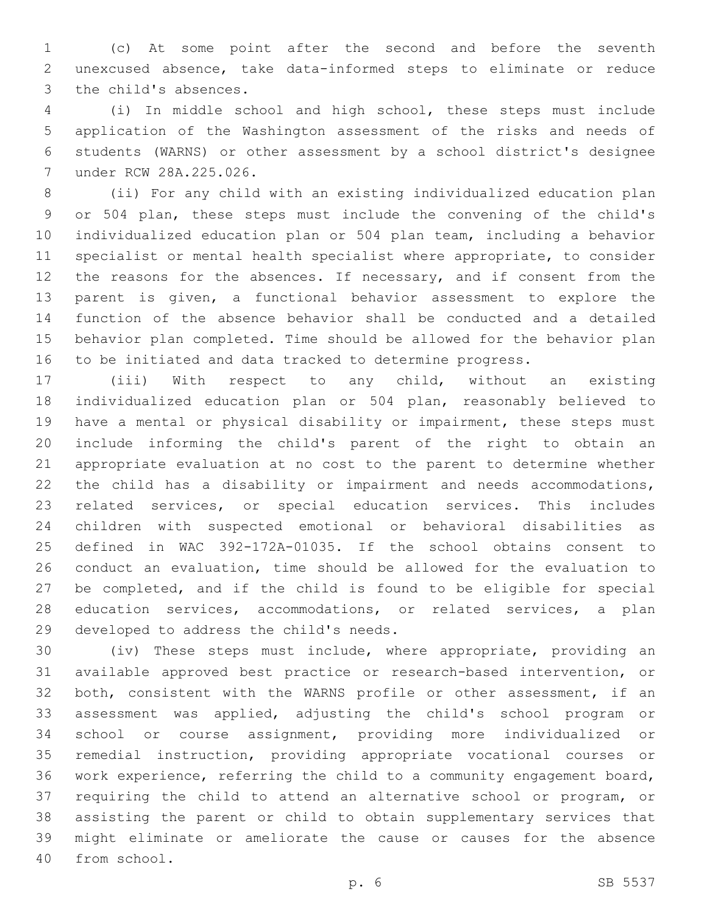(c) At some point after the second and before the seventh unexcused absence, take data-informed steps to eliminate or reduce 3 the child's absences.

 (i) In middle school and high school, these steps must include application of the Washington assessment of the risks and needs of students (WARNS) or other assessment by a school district's designee under RCW 28A.225.026.7

 (ii) For any child with an existing individualized education plan or 504 plan, these steps must include the convening of the child's individualized education plan or 504 plan team, including a behavior specialist or mental health specialist where appropriate, to consider 12 the reasons for the absences. If necessary, and if consent from the parent is given, a functional behavior assessment to explore the function of the absence behavior shall be conducted and a detailed behavior plan completed. Time should be allowed for the behavior plan to be initiated and data tracked to determine progress.

 (iii) With respect to any child, without an existing individualized education plan or 504 plan, reasonably believed to have a mental or physical disability or impairment, these steps must include informing the child's parent of the right to obtain an appropriate evaluation at no cost to the parent to determine whether the child has a disability or impairment and needs accommodations, related services, or special education services. This includes children with suspected emotional or behavioral disabilities as defined in WAC 392-172A-01035. If the school obtains consent to conduct an evaluation, time should be allowed for the evaluation to be completed, and if the child is found to be eligible for special education services, accommodations, or related services, a plan 29 developed to address the child's needs.

 (iv) These steps must include, where appropriate, providing an available approved best practice or research-based intervention, or both, consistent with the WARNS profile or other assessment, if an assessment was applied, adjusting the child's school program or school or course assignment, providing more individualized or remedial instruction, providing appropriate vocational courses or work experience, referring the child to a community engagement board, requiring the child to attend an alternative school or program, or assisting the parent or child to obtain supplementary services that might eliminate or ameliorate the cause or causes for the absence 40 from school.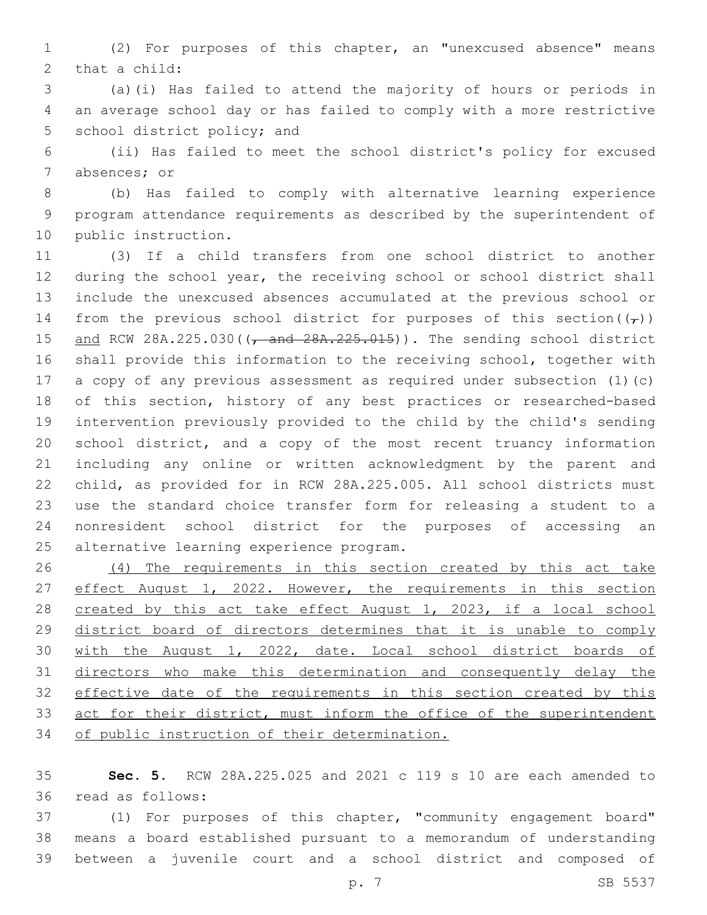(2) For purposes of this chapter, an "unexcused absence" means 2 that a child:

 (a)(i) Has failed to attend the majority of hours or periods in an average school day or has failed to comply with a more restrictive 5 school district policy; and

 (ii) Has failed to meet the school district's policy for excused 7 absences; or

 (b) Has failed to comply with alternative learning experience program attendance requirements as described by the superintendent of 10 public instruction.

 (3) If a child transfers from one school district to another during the school year, the receiving school or school district shall include the unexcused absences accumulated at the previous school or 14 from the previous school district for purposes of this section( $(\tau)$ ) 15 and RCW 28A.225.030((, and 28A.225.015)). The sending school district shall provide this information to the receiving school, together with a copy of any previous assessment as required under subsection (1)(c) of this section, history of any best practices or researched-based intervention previously provided to the child by the child's sending school district, and a copy of the most recent truancy information including any online or written acknowledgment by the parent and child, as provided for in RCW 28A.225.005. All school districts must use the standard choice transfer form for releasing a student to a nonresident school district for the purposes of accessing an 25 alternative learning experience program.

 (4) The requirements in this section created by this act take 27 effect August 1, 2022. However, the requirements in this section 28 created by this act take effect August 1, 2023, if a local school district board of directors determines that it is unable to comply with the August 1, 2022, date. Local school district boards of directors who make this determination and consequently delay the 32 effective date of the requirements in this section created by this 33 act for their district, must inform the office of the superintendent of public instruction of their determination.

 **Sec. 5.** RCW 28A.225.025 and 2021 c 119 s 10 are each amended to read as follows:36

 (1) For purposes of this chapter, "community engagement board" means a board established pursuant to a memorandum of understanding between a juvenile court and a school district and composed of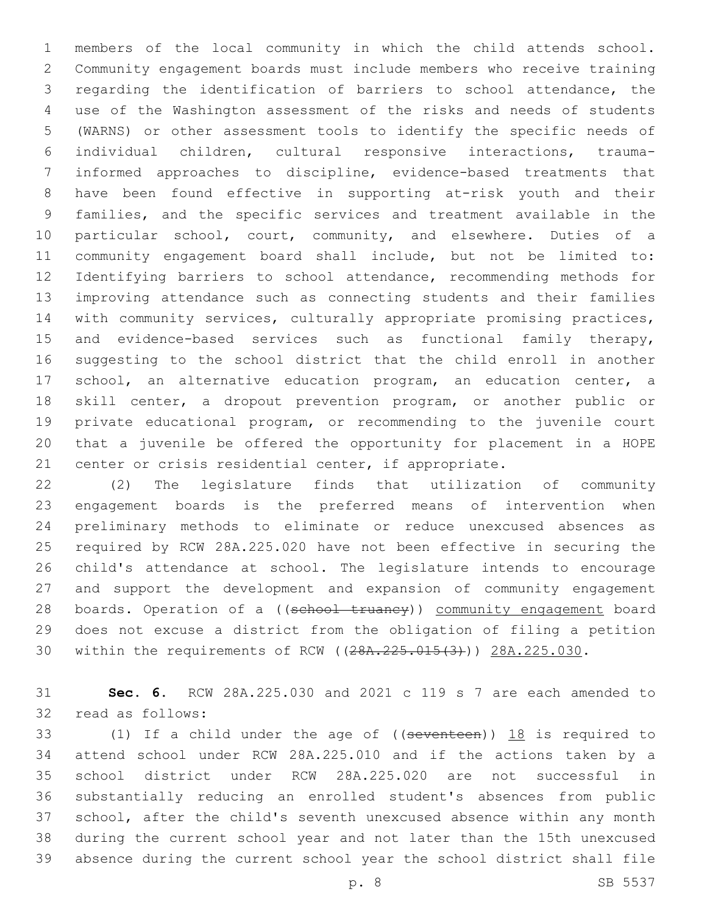members of the local community in which the child attends school. Community engagement boards must include members who receive training regarding the identification of barriers to school attendance, the use of the Washington assessment of the risks and needs of students (WARNS) or other assessment tools to identify the specific needs of individual children, cultural responsive interactions, trauma- informed approaches to discipline, evidence-based treatments that have been found effective in supporting at-risk youth and their families, and the specific services and treatment available in the particular school, court, community, and elsewhere. Duties of a community engagement board shall include, but not be limited to: Identifying barriers to school attendance, recommending methods for improving attendance such as connecting students and their families with community services, culturally appropriate promising practices, and evidence-based services such as functional family therapy, suggesting to the school district that the child enroll in another school, an alternative education program, an education center, a skill center, a dropout prevention program, or another public or private educational program, or recommending to the juvenile court that a juvenile be offered the opportunity for placement in a HOPE center or crisis residential center, if appropriate.

 (2) The legislature finds that utilization of community engagement boards is the preferred means of intervention when preliminary methods to eliminate or reduce unexcused absences as required by RCW 28A.225.020 have not been effective in securing the child's attendance at school. The legislature intends to encourage and support the development and expansion of community engagement 28 boards. Operation of a ((school truancy)) community engagement board does not excuse a district from the obligation of filing a petition 30 within the requirements of RCW ((28A.225.015(3))) 28A.225.030.

 **Sec. 6.** RCW 28A.225.030 and 2021 c 119 s 7 are each amended to 32 read as follows:

33 (1) If a child under the age of ((seventeen)) 18 is required to attend school under RCW 28A.225.010 and if the actions taken by a school district under RCW 28A.225.020 are not successful in substantially reducing an enrolled student's absences from public school, after the child's seventh unexcused absence within any month during the current school year and not later than the 15th unexcused absence during the current school year the school district shall file

p. 8 SB 5537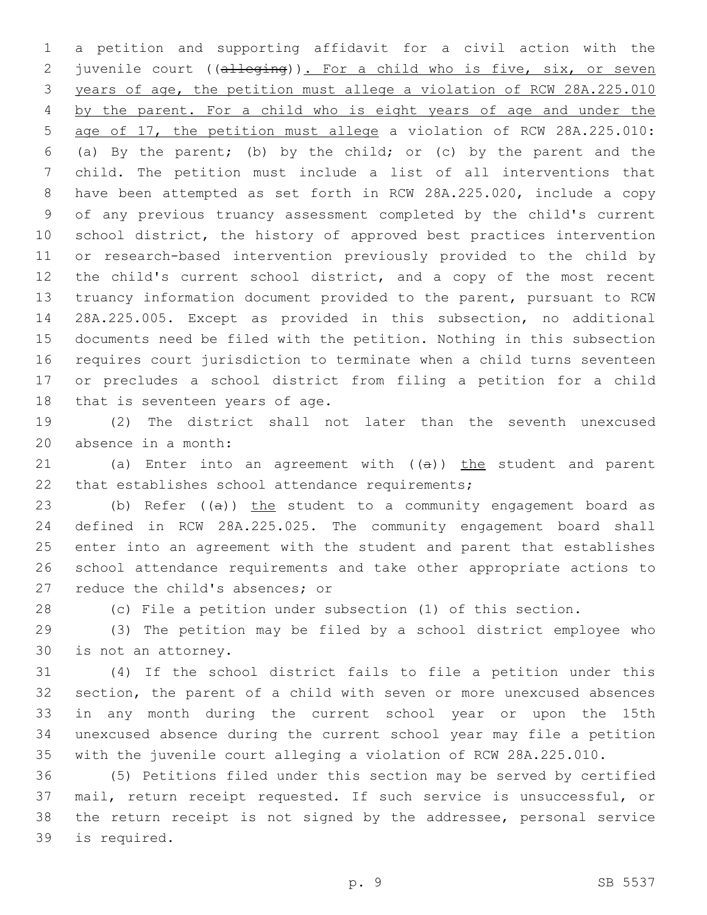a petition and supporting affidavit for a civil action with the 2 juvenile court ((alleging)). For a child who is five, six, or seven years of age, the petition must allege a violation of RCW 28A.225.010 by the parent. For a child who is eight years of age and under the age of 17, the petition must allege a violation of RCW 28A.225.010: (a) By the parent; (b) by the child; or (c) by the parent and the child. The petition must include a list of all interventions that have been attempted as set forth in RCW 28A.225.020, include a copy of any previous truancy assessment completed by the child's current school district, the history of approved best practices intervention or research-based intervention previously provided to the child by the child's current school district, and a copy of the most recent truancy information document provided to the parent, pursuant to RCW 28A.225.005. Except as provided in this subsection, no additional documents need be filed with the petition. Nothing in this subsection requires court jurisdiction to terminate when a child turns seventeen or precludes a school district from filing a petition for a child 18 that is seventeen years of age.

 (2) The district shall not later than the seventh unexcused 20 absence in a month:

21 (a) Enter into an agreement with  $((a))$  the student and parent 22 that establishes school attendance requirements;

23 (b) Refer  $((a))$  the student to a community engagement board as defined in RCW 28A.225.025. The community engagement board shall enter into an agreement with the student and parent that establishes school attendance requirements and take other appropriate actions to 27 reduce the child's absences; or

(c) File a petition under subsection (1) of this section.

 (3) The petition may be filed by a school district employee who 30 is not an attorney.

 (4) If the school district fails to file a petition under this section, the parent of a child with seven or more unexcused absences in any month during the current school year or upon the 15th unexcused absence during the current school year may file a petition with the juvenile court alleging a violation of RCW 28A.225.010.

 (5) Petitions filed under this section may be served by certified mail, return receipt requested. If such service is unsuccessful, or the return receipt is not signed by the addressee, personal service 39 is required.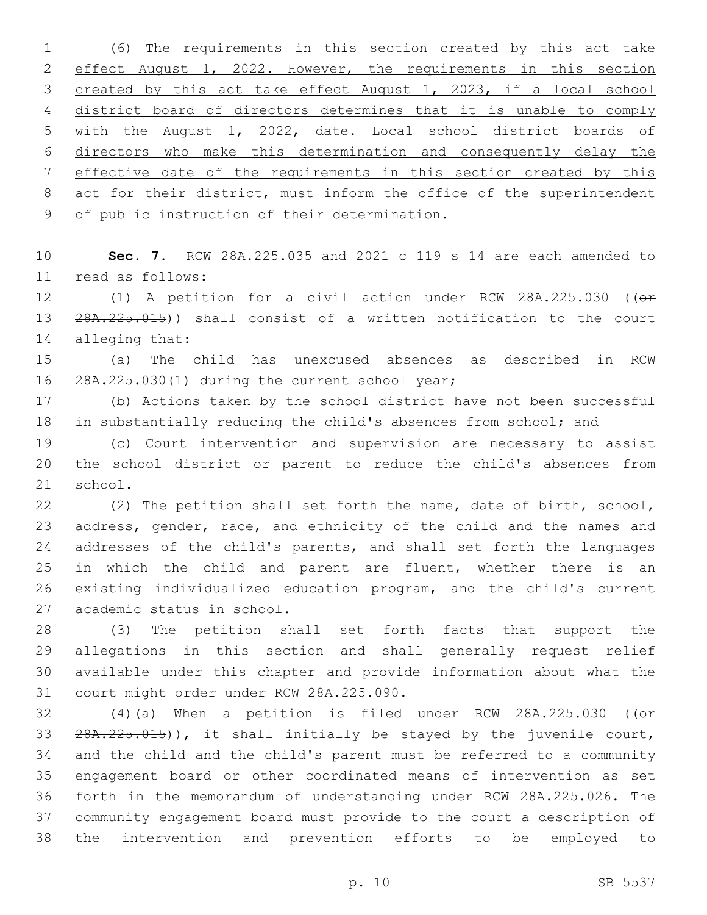(6) The requirements in this section created by this act take effect August 1, 2022. However, the requirements in this section created by this act take effect August 1, 2023, if a local school district board of directors determines that it is unable to comply with the August 1, 2022, date. Local school district boards of directors who make this determination and consequently delay the effective date of the requirements in this section created by this 8 act for their district, must inform the office of the superintendent of public instruction of their determination.

 **Sec. 7.** RCW 28A.225.035 and 2021 c 119 s 14 are each amended to read as follows:11

12 (1) A petition for a civil action under RCW 28A.225.030 (( $\theta$ r 13 28A.225.015)) shall consist of a written notification to the court 14 alleging that:

 (a) The child has unexcused absences as described in RCW 16 28A.225.030(1) during the current school year;

 (b) Actions taken by the school district have not been successful in substantially reducing the child's absences from school; and

 (c) Court intervention and supervision are necessary to assist the school district or parent to reduce the child's absences from 21 school.

 (2) The petition shall set forth the name, date of birth, school, address, gender, race, and ethnicity of the child and the names and addresses of the child's parents, and shall set forth the languages in which the child and parent are fluent, whether there is an existing individualized education program, and the child's current 27 academic status in school.

 (3) The petition shall set forth facts that support the allegations in this section and shall generally request relief available under this chapter and provide information about what the 31 court might order under RCW 28A.225.090.

 $(4)(a)$  When a petition is filed under RCW 28A.225.030 (( $\theta$ \* 28A.225.015)), it shall initially be stayed by the juvenile court, and the child and the child's parent must be referred to a community engagement board or other coordinated means of intervention as set forth in the memorandum of understanding under RCW 28A.225.026. The community engagement board must provide to the court a description of the intervention and prevention efforts to be employed to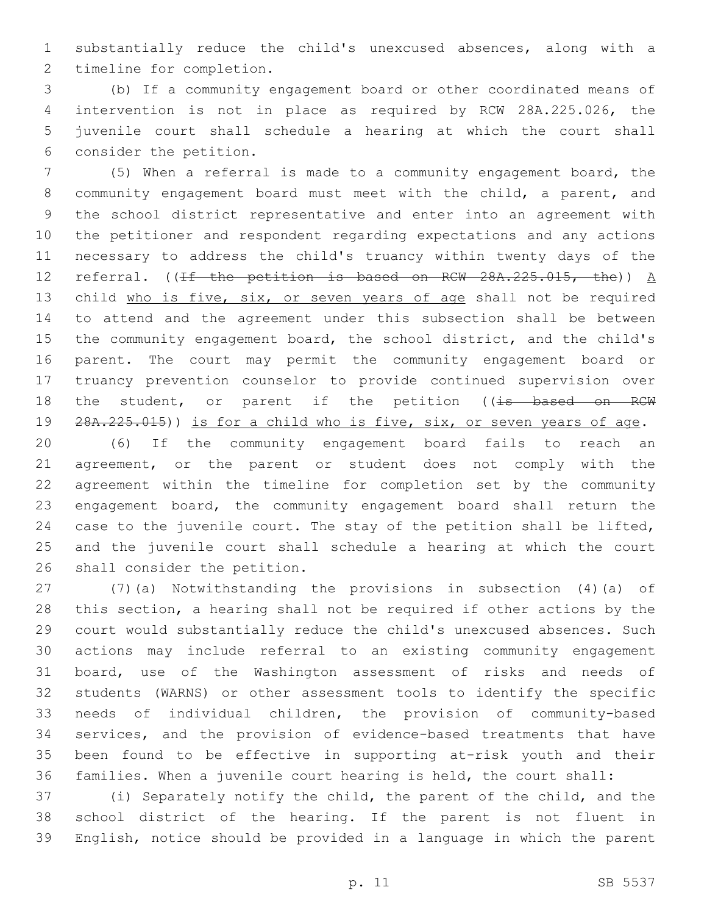substantially reduce the child's unexcused absences, along with a 2 timeline for completion.

 (b) If a community engagement board or other coordinated means of intervention is not in place as required by RCW 28A.225.026, the juvenile court shall schedule a hearing at which the court shall 6 consider the petition.

 (5) When a referral is made to a community engagement board, the community engagement board must meet with the child, a parent, and the school district representative and enter into an agreement with the petitioner and respondent regarding expectations and any actions necessary to address the child's truancy within twenty days of the 12 referral. ((If the petition is based on RCW  $28A.225.015$ , the))  $A$ 13 child who is five, six, or seven years of age shall not be required to attend and the agreement under this subsection shall be between the community engagement board, the school district, and the child's parent. The court may permit the community engagement board or truancy prevention counselor to provide continued supervision over 18 the student, or parent if the petition ((is based on RCW 28A.225.015)) is for a child who is five, six, or seven years of age.

 (6) If the community engagement board fails to reach an agreement, or the parent or student does not comply with the agreement within the timeline for completion set by the community engagement board, the community engagement board shall return the case to the juvenile court. The stay of the petition shall be lifted, and the juvenile court shall schedule a hearing at which the court 26 shall consider the petition.

 (7)(a) Notwithstanding the provisions in subsection (4)(a) of this section, a hearing shall not be required if other actions by the court would substantially reduce the child's unexcused absences. Such actions may include referral to an existing community engagement board, use of the Washington assessment of risks and needs of students (WARNS) or other assessment tools to identify the specific needs of individual children, the provision of community-based services, and the provision of evidence-based treatments that have been found to be effective in supporting at-risk youth and their families. When a juvenile court hearing is held, the court shall:

 (i) Separately notify the child, the parent of the child, and the school district of the hearing. If the parent is not fluent in English, notice should be provided in a language in which the parent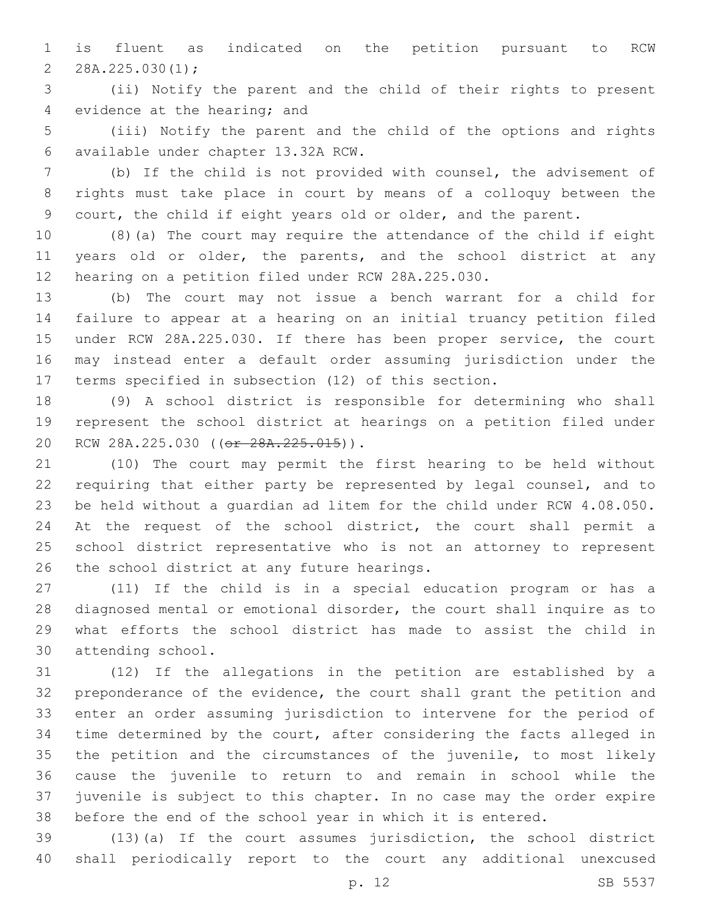is fluent as indicated on the petition pursuant to RCW 2  $28A.225.030(1);$ 

 (ii) Notify the parent and the child of their rights to present 4 evidence at the hearing; and

 (iii) Notify the parent and the child of the options and rights available under chapter 13.32A RCW.6

 (b) If the child is not provided with counsel, the advisement of rights must take place in court by means of a colloquy between the court, the child if eight years old or older, and the parent.

 (8)(a) The court may require the attendance of the child if eight 11 years old or older, the parents, and the school district at any hearing on a petition filed under RCW 28A.225.030.

 (b) The court may not issue a bench warrant for a child for failure to appear at a hearing on an initial truancy petition filed under RCW 28A.225.030. If there has been proper service, the court may instead enter a default order assuming jurisdiction under the terms specified in subsection (12) of this section.

 (9) A school district is responsible for determining who shall represent the school district at hearings on a petition filed under 20 RCW 28A.225.030 ((or 28A.225.015)).

 (10) The court may permit the first hearing to be held without requiring that either party be represented by legal counsel, and to be held without a guardian ad litem for the child under RCW 4.08.050. 24 At the request of the school district, the court shall permit a school district representative who is not an attorney to represent 26 the school district at any future hearings.

 (11) If the child is in a special education program or has a diagnosed mental or emotional disorder, the court shall inquire as to what efforts the school district has made to assist the child in 30 attending school.

 (12) If the allegations in the petition are established by a preponderance of the evidence, the court shall grant the petition and enter an order assuming jurisdiction to intervene for the period of time determined by the court, after considering the facts alleged in 35 the petition and the circumstances of the juvenile, to most likely cause the juvenile to return to and remain in school while the juvenile is subject to this chapter. In no case may the order expire before the end of the school year in which it is entered.

 (13)(a) If the court assumes jurisdiction, the school district shall periodically report to the court any additional unexcused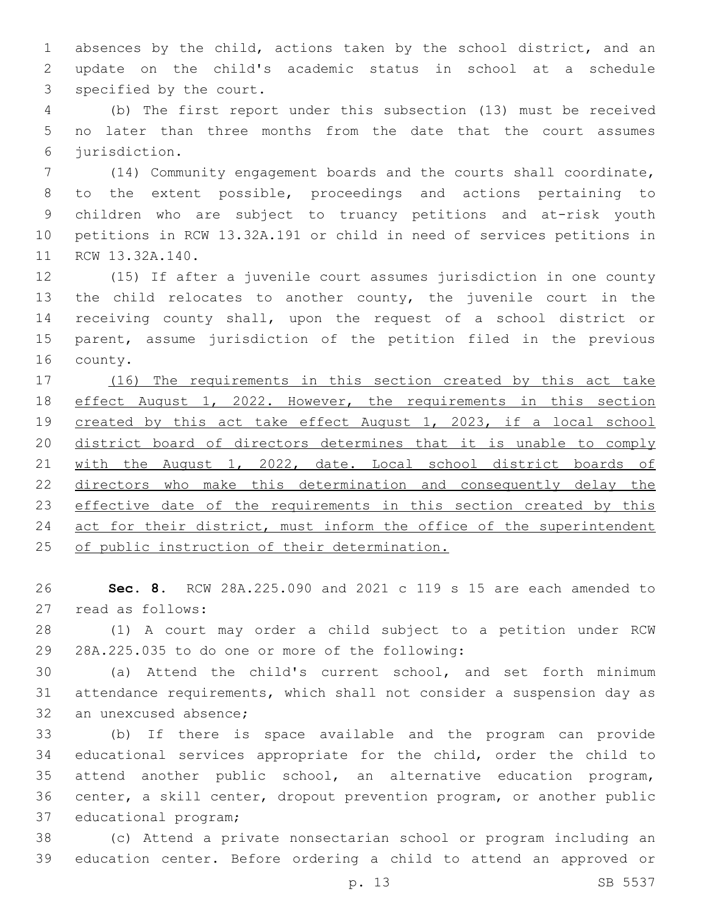absences by the child, actions taken by the school district, and an update on the child's academic status in school at a schedule 3 specified by the court.

 (b) The first report under this subsection (13) must be received no later than three months from the date that the court assumes jurisdiction.6

 (14) Community engagement boards and the courts shall coordinate, to the extent possible, proceedings and actions pertaining to children who are subject to truancy petitions and at-risk youth petitions in RCW 13.32A.191 or child in need of services petitions in 11 RCW 13.32A.140.

 (15) If after a juvenile court assumes jurisdiction in one county the child relocates to another county, the juvenile court in the receiving county shall, upon the request of a school district or parent, assume jurisdiction of the petition filed in the previous 16 county.

 (16) The requirements in this section created by this act take effect August 1, 2022. However, the requirements in this section created by this act take effect August 1, 2023, if a local school district board of directors determines that it is unable to comply with the August 1, 2022, date. Local school district boards of directors who make this determination and consequently delay the 23 effective date of the requirements in this section created by this 24 act for their district, must inform the office of the superintendent 25 of public instruction of their determination.

 **Sec. 8.** RCW 28A.225.090 and 2021 c 119 s 15 are each amended to 27 read as follows:

 (1) A court may order a child subject to a petition under RCW 29 28A.225.035 to do one or more of the following:

 (a) Attend the child's current school, and set forth minimum attendance requirements, which shall not consider a suspension day as 32 an unexcused absence:

 (b) If there is space available and the program can provide educational services appropriate for the child, order the child to attend another public school, an alternative education program, center, a skill center, dropout prevention program, or another public 37 educational program;

 (c) Attend a private nonsectarian school or program including an education center. Before ordering a child to attend an approved or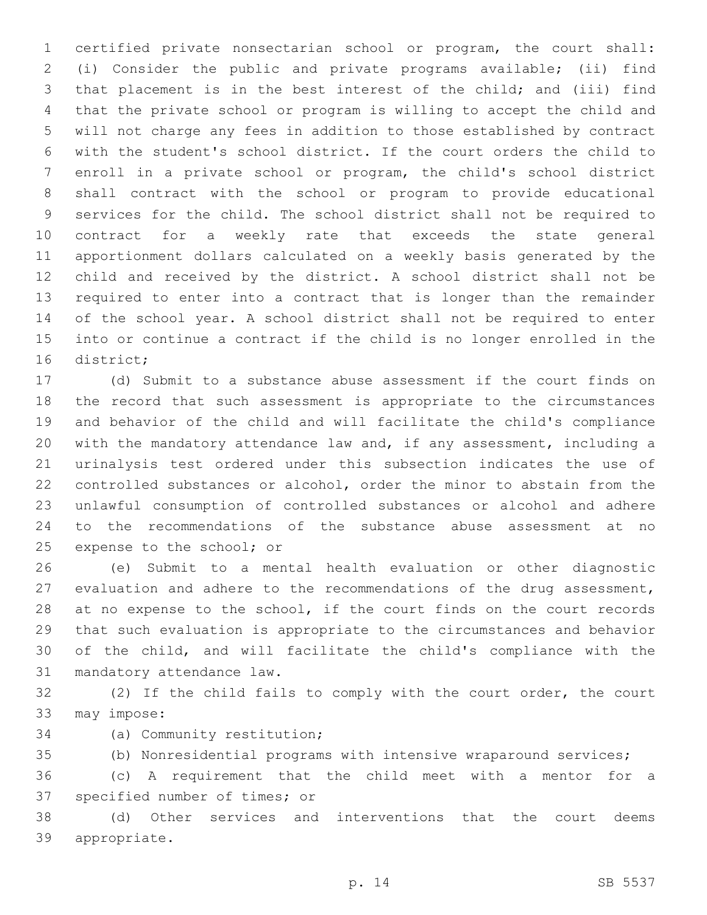certified private nonsectarian school or program, the court shall: (i) Consider the public and private programs available; (ii) find that placement is in the best interest of the child; and (iii) find that the private school or program is willing to accept the child and will not charge any fees in addition to those established by contract with the student's school district. If the court orders the child to enroll in a private school or program, the child's school district shall contract with the school or program to provide educational services for the child. The school district shall not be required to contract for a weekly rate that exceeds the state general apportionment dollars calculated on a weekly basis generated by the child and received by the district. A school district shall not be required to enter into a contract that is longer than the remainder of the school year. A school district shall not be required to enter into or continue a contract if the child is no longer enrolled in the 16 district;

 (d) Submit to a substance abuse assessment if the court finds on the record that such assessment is appropriate to the circumstances and behavior of the child and will facilitate the child's compliance with the mandatory attendance law and, if any assessment, including a urinalysis test ordered under this subsection indicates the use of controlled substances or alcohol, order the minor to abstain from the unlawful consumption of controlled substances or alcohol and adhere to the recommendations of the substance abuse assessment at no 25 expense to the school; or

 (e) Submit to a mental health evaluation or other diagnostic evaluation and adhere to the recommendations of the drug assessment, 28 at no expense to the school, if the court finds on the court records that such evaluation is appropriate to the circumstances and behavior of the child, and will facilitate the child's compliance with the 31 mandatory attendance law.

 (2) If the child fails to comply with the court order, the court 33 may impose:

- 34 (a) Community restitution;
- (b) Nonresidential programs with intensive wraparound services;

 (c) A requirement that the child meet with a mentor for a 37 specified number of times; or

 (d) Other services and interventions that the court deems 39 appropriate.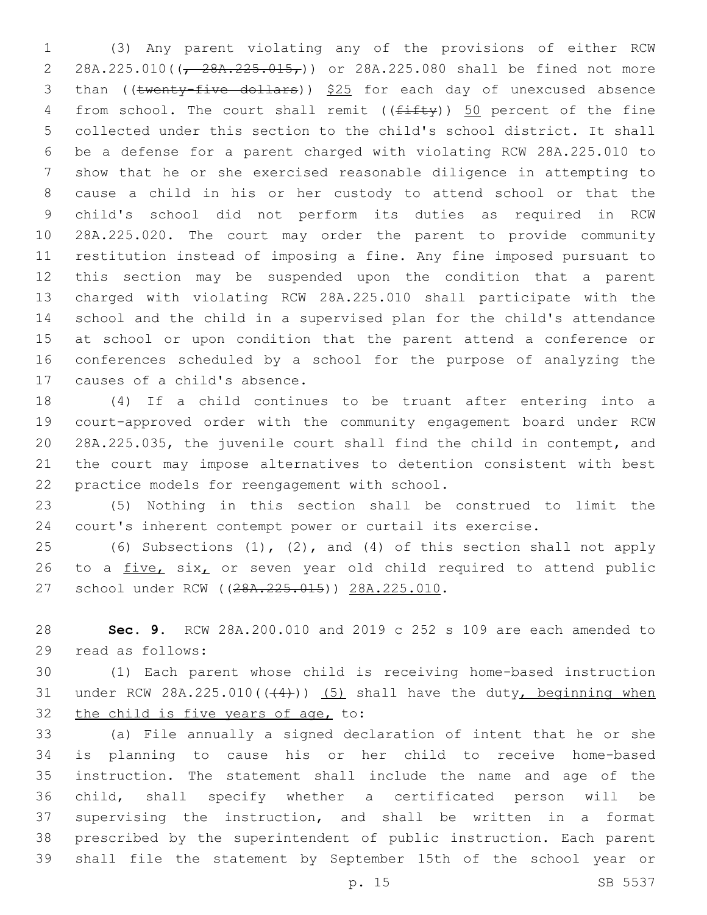(3) Any parent violating any of the provisions of either RCW 2 28A.225.010( $(\frac{28}{128})$ , 225.015,)) or 28A.225.080 shall be fined not more 3 than ((twenty-five dollars)) \$25 for each day of unexcused absence 4 from school. The court shall remit  $((f\text{iff}\psi))$  50 percent of the fine collected under this section to the child's school district. It shall be a defense for a parent charged with violating RCW 28A.225.010 to show that he or she exercised reasonable diligence in attempting to cause a child in his or her custody to attend school or that the child's school did not perform its duties as required in RCW 28A.225.020. The court may order the parent to provide community restitution instead of imposing a fine. Any fine imposed pursuant to this section may be suspended upon the condition that a parent charged with violating RCW 28A.225.010 shall participate with the school and the child in a supervised plan for the child's attendance at school or upon condition that the parent attend a conference or conferences scheduled by a school for the purpose of analyzing the 17 causes of a child's absence.

 (4) If a child continues to be truant after entering into a court-approved order with the community engagement board under RCW 28A.225.035, the juvenile court shall find the child in contempt, and the court may impose alternatives to detention consistent with best 22 practice models for reengagement with school.

 (5) Nothing in this section shall be construed to limit the court's inherent contempt power or curtail its exercise.

 (6) Subsections (1), (2), and (4) of this section shall not apply 26 to a  $five$ , six, or seven year old child required to attend public 27 school under RCW ((28A.225.015)) 28A.225.010.

 **Sec. 9.** RCW 28A.200.010 and 2019 c 252 s 109 are each amended to 29 read as follows:

 (1) Each parent whose child is receiving home-based instruction 31 under RCW 28A.225.010( $(44)$ )) (5) shall have the duty, beginning when 32 the child is five years of age, to:

 (a) File annually a signed declaration of intent that he or she is planning to cause his or her child to receive home-based instruction. The statement shall include the name and age of the child, shall specify whether a certificated person will be supervising the instruction, and shall be written in a format prescribed by the superintendent of public instruction. Each parent shall file the statement by September 15th of the school year or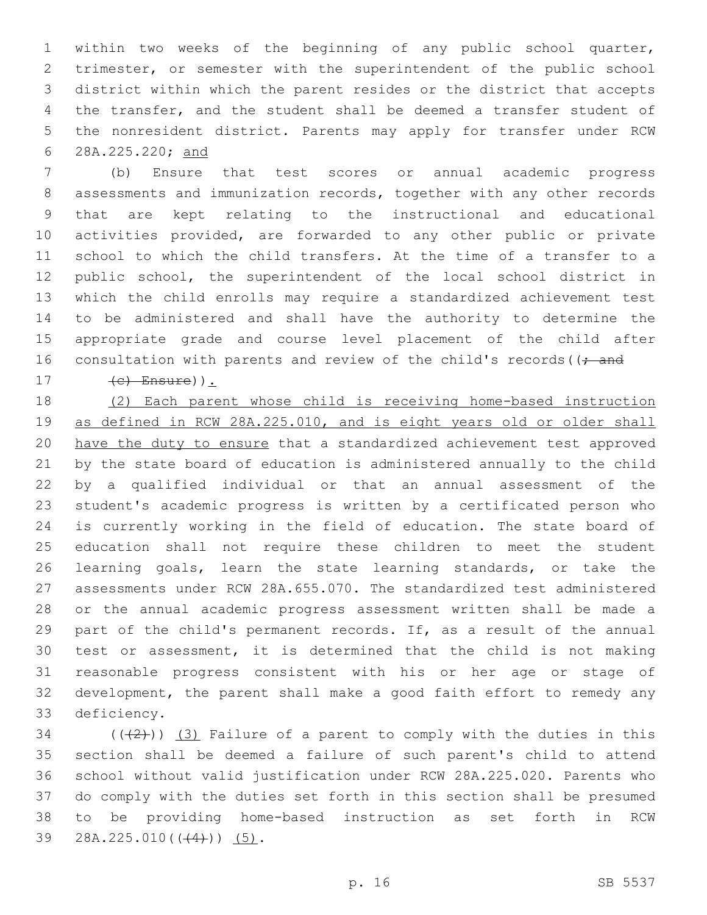within two weeks of the beginning of any public school quarter, trimester, or semester with the superintendent of the public school district within which the parent resides or the district that accepts the transfer, and the student shall be deemed a transfer student of the nonresident district. Parents may apply for transfer under RCW 28A.225.220; and

 (b) Ensure that test scores or annual academic progress assessments and immunization records, together with any other records that are kept relating to the instructional and educational activities provided, are forwarded to any other public or private school to which the child transfers. At the time of a transfer to a public school, the superintendent of the local school district in which the child enrolls may require a standardized achievement test to be administered and shall have the authority to determine the appropriate grade and course level placement of the child after 16 consultation with parents and review of the child's records ( $\left($  ; and (c) Ensure)).

 (2) Each parent whose child is receiving home-based instruction as defined in RCW 28A.225.010, and is eight years old or older shall have the duty to ensure that a standardized achievement test approved by the state board of education is administered annually to the child by a qualified individual or that an annual assessment of the student's academic progress is written by a certificated person who is currently working in the field of education. The state board of education shall not require these children to meet the student learning goals, learn the state learning standards, or take the assessments under RCW 28A.655.070. The standardized test administered or the annual academic progress assessment written shall be made a part of the child's permanent records. If, as a result of the annual test or assessment, it is determined that the child is not making reasonable progress consistent with his or her age or stage of development, the parent shall make a good faith effort to remedy any 33 deficiency.

34 ( $(\frac{1}{2})$ ) (3) Failure of a parent to comply with the duties in this section shall be deemed a failure of such parent's child to attend school without valid justification under RCW 28A.225.020. Parents who do comply with the duties set forth in this section shall be presumed to be providing home-based instruction as set forth in RCW 39 28A.225.010( $(\frac{4}{1})$ ) (5).